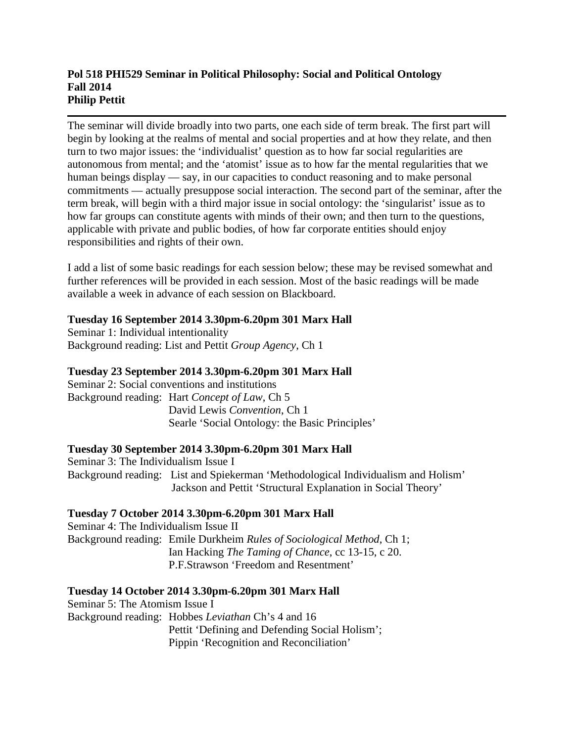### **Pol 518 PHI529 Seminar in Political Philosophy: Social and Political Ontology Fall 2014 Philip Pettit**

The seminar will divide broadly into two parts, one each side of term break. The first part will begin by looking at the realms of mental and social properties and at how they relate, and then turn to two major issues: the 'individualist' question as to how far social regularities are autonomous from mental; and the 'atomist' issue as to how far the mental regularities that we human beings display — say, in our capacities to conduct reasoning and to make personal commitments — actually presuppose social interaction. The second part of the seminar, after the term break, will begin with a third major issue in social ontology: the 'singularist' issue as to how far groups can constitute agents with minds of their own; and then turn to the questions, applicable with private and public bodies, of how far corporate entities should enjoy responsibilities and rights of their own.

I add a list of some basic readings for each session below; these may be revised somewhat and further references will be provided in each session. Most of the basic readings will be made available a week in advance of each session on Blackboard.

# **Tuesday 16 September 2014 3.30pm-6.20pm 301 Marx Hall**

Seminar 1: Individual intentionality Background reading: List and Pettit *Group Agency*, Ch 1

# **Tuesday 23 September 2014 3.30pm-6.20pm 301 Marx Hall**

Seminar 2: Social conventions and institutions Background reading: Hart *Concept of Law*, Ch 5 David Lewis *Convention*, Ch 1 Searle 'Social Ontology: the Basic Principles'

## **Tuesday 30 September 2014 3.30pm-6.20pm 301 Marx Hall**

Seminar 3: The Individualism Issue I Background reading: List and Spiekerman 'Methodological Individualism and Holism' Jackson and Pettit 'Structural Explanation in Social Theory'

## **Tuesday 7 October 2014 3.30pm-6.20pm 301 Marx Hall**

Seminar 4: The Individualism Issue II Background reading: Emile Durkheim *Rules of Sociological Method*, Ch 1; Ian Hacking *The Taming of Chance*, cc 13-15, c 20. P.F.Strawson 'Freedom and Resentment'

## **Tuesday 14 October 2014 3.30pm-6.20pm 301 Marx Hall**

Seminar 5: The Atomism Issue I Background reading: Hobbes *Leviathan* Ch's 4 and 16 Pettit 'Defining and Defending Social Holism'; Pippin 'Recognition and Reconciliation'